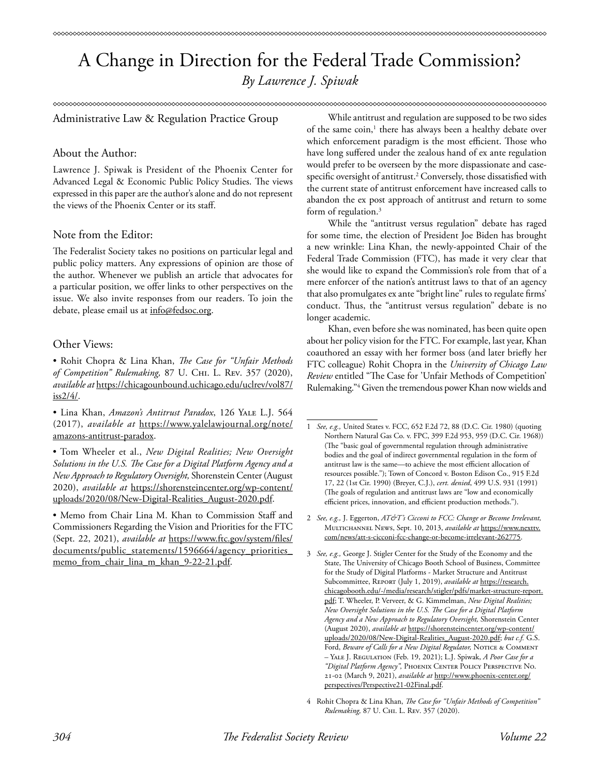# A Change in Direction for the Federal Trade Commission? *By Lawrence J. Spiwak*

#### ∞∞∞∞∞∞∞∞∞∞∞∞∞∞

Administrative Law & Regulation Practice Group

# About the Author:

Lawrence J. Spiwak is President of the Phoenix Center for Advanced Legal & Economic Public Policy Studies. The views expressed in this paper are the author's alone and do not represent the views of the Phoenix Center or its staff.

# Note from the Editor:

The Federalist Society takes no positions on particular legal and public policy matters. Any expressions of opinion are those of the author. Whenever we publish an article that advocates for a particular position, we offer links to other perspectives on the issue. We also invite responses from our readers. To join the debate, please email us at info@fedsoc.org.

# Other Views:

• Rohit Chopra & Lina Khan, *The Case for "Unfair Methods of Competition" Rulemaking,* 87 U. Chi. L. Rev. 357 (2020), *available at* https://chicagounbound.uchicago.edu/uclrev/vol87/ iss2/4/.

• Lina Khan, *Amazon's Antitrust Paradox*, 126 Yale L.J. 564 (2017), *available at* https://www.yalelawjournal.org/note/ amazons-antitrust-paradox.

• Tom Wheeler et al., *New Digital Realities; New Oversight Solutions in the U.S. The Case for a Digital Platform Agency and a New Approach to Regulatory Oversight,* Shorenstein Center (August 2020), *available at* https://shorensteincenter.org/wp-content/ uploads/2020/08/New-Digital-Realities\_August-2020.pdf.

• Memo from Chair Lina M. Khan to Commission Staff and Commissioners Regarding the Vision and Priorities for the FTC (Sept. 22, 2021), *available at* https://www.ftc.gov/system/files/ documents/public\_statements/1596664/agency\_priorities memo\_from\_chair\_lina\_m\_khan\_9-22-21.pdf.

While antitrust and regulation are supposed to be two sides of the same coin,<sup>1</sup> there has always been a healthy debate over which enforcement paradigm is the most efficient. Those who have long suffered under the zealous hand of ex ante regulation would prefer to be overseen by the more dispassionate and casespecific oversight of antitrust.2 Conversely, those dissatisfied with the current state of antitrust enforcement have increased calls to abandon the ex post approach of antitrust and return to some form of regulation.<sup>3</sup>

While the "antitrust versus regulation" debate has raged for some time, the election of President Joe Biden has brought a new wrinkle: Lina Khan, the newly-appointed Chair of the Federal Trade Commission (FTC), has made it very clear that she would like to expand the Commission's role from that of a mere enforcer of the nation's antitrust laws to that of an agency that also promulgates ex ante "bright line" rules to regulate firms' conduct. Thus, the "antitrust versus regulation" debate is no longer academic.

Khan, even before she was nominated, has been quite open about her policy vision for the FTC. For example, last year, Khan coauthored an essay with her former boss (and later briefly her FTC colleague) Rohit Chopra in the *University of Chicago Law Review* entitled "The Case for 'Unfair Methods of Competition' Rulemaking."4 Given the tremendous power Khan now wields and

2 *See, e.g.,* J. Eggerton, *AT&T's Cicconi to FCC: Change or Become Irrelevant,* Multichannel News, Sept. 10, 2013, *available at* https://www.nexttv. com/news/att-s-cicconi-fcc-change-or-become-irrelevant-262775.

4 Rohit Chopra & Lina Khan, *The Case for "Unfair Methods of Competition" Rulemaking,* 87 U. Chi. L. Rev. 357 (2020).

<sup>1</sup> *See, e.g.,* United States v. FCC, 652 F.2d 72, 88 (D.C. Cir. 1980) (quoting Northern Natural Gas Co. v. FPC, 399 F.2d 953, 959 (D.C. Cir. 1968)) (The "basic goal of governmental regulation through administrative bodies and the goal of indirect governmental regulation in the form of antitrust law is the same—to achieve the most efficient allocation of resources possible."); Town of Concord v. Boston Edison Co., 915 F.2d 17, 22 (1st Cir. 1990) (Breyer, C.J.), *cert. denied*, 499 U.S. 931 (1991) (The goals of regulation and antitrust laws are "low and economically efficient prices, innovation, and efficient production methods.").

<sup>3</sup> *See, e.g.,* George J. Stigler Center for the Study of the Economy and the State, The University of Chicago Booth School of Business, Committee for the Study of Digital Platforms - Market Structure and Antitrust Subcommittee, Report (July 1, 2019), *available at* https://research. chicagobooth.edu/-/media/research/stigler/pdfs/market-structure-report. pdf; T. Wheeler, P. Verveer, & G. Kimmelman, *New Digital Realities; New Oversight Solutions in the U.S. The Case for a Digital Platform Agency and a New Approach to Regulatory Oversight,* Shorenstein Center (August 2020), *available at* https://shorensteincenter.org/wp-content/ uploads/2020/08/New-Digital-Realities\_August-2020.pdf; *but c.f.* G.S. Ford, *Beware of Calls for a New Digital Regulator*, NOTICE & COMMENT – Yale J. Regulation (Feb. 19, 2021); L.J. Spiwak, *A Poor Case for a "Digital Platform Agency",* Phoenix Center Policy Perspective No. 21-02 (March 9, 2021), *available at* http://www.phoenix-center.org/ perspectives/Perspective21-02Final.pdf.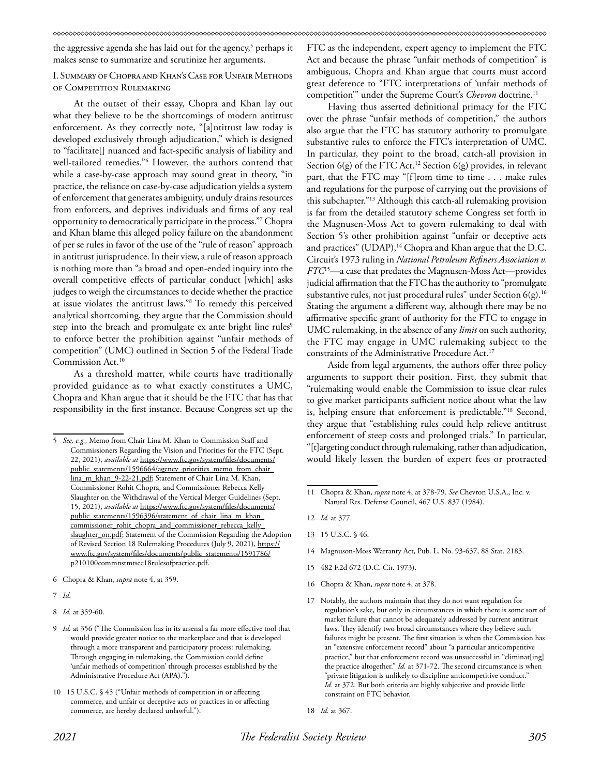the aggressive agenda she has laid out for the agency,<sup>5</sup> perhaps it makes sense to summarize and scrutinize her arguments.

# I. Summary of Chopra and Khan's Case for Unfair Methods of Competition Rulemaking

At the outset of their essay, Chopra and Khan lay out what they believe to be the shortcomings of modern antitrust enforcement. As they correctly note, "[a]ntitrust law today is developed exclusively through adjudication," which is designed to "facilitate[] nuanced and fact-specific analysis of liability and well-tailored remedies."6 However, the authors contend that while a case-by-case approach may sound great in theory, "in practice, the reliance on case-by-case adjudication yields a system of enforcement that generates ambiguity, unduly drains resources from enforcers, and deprives individuals and firms of any real opportunity to democratically participate in the process."7 Chopra and Khan blame this alleged policy failure on the abandonment of per se rules in favor of the use of the "rule of reason" approach in antitrust jurisprudence. In their view, a rule of reason approach is nothing more than "a broad and open-ended inquiry into the overall competitive effects of particular conduct [which] asks judges to weigh the circumstances to decide whether the practice at issue violates the antitrust laws."8 To remedy this perceived analytical shortcoming, they argue that the Commission should step into the breach and promulgate ex ante bright line rules<sup>9</sup> to enforce better the prohibition against "unfair methods of competition" (UMC) outlined in Section 5 of the Federal Trade Commission Act.<sup>10</sup>

As a threshold matter, while courts have traditionally provided guidance as to what exactly constitutes a UMC, Chopra and Khan argue that it should be the FTC that has that responsibility in the first instance. Because Congress set up the

FTC as the independent, expert agency to implement the FTC Act and because the phrase "unfair methods of competition" is ambiguous, Chopra and Khan argue that courts must accord great deference to "FTC interpretations of 'unfair methods of competition" under the Supreme Court's *Chevron* doctrine.<sup>11</sup>

Having thus asserted definitional primacy for the FTC over the phrase "unfair methods of competition," the authors also argue that the FTC has statutory authority to promulgate substantive rules to enforce the FTC's interpretation of UMC. In particular, they point to the broad, catch-all provision in Section  $6(g)$  of the FTC Act.<sup>12</sup> Section  $6(g)$  provides, in relevant part, that the FTC may "[f]rom time to time . . . make rules and regulations for the purpose of carrying out the provisions of this subchapter."13 Although this catch-all rulemaking provision is far from the detailed statutory scheme Congress set forth in the Magnusen-Moss Act to govern rulemaking to deal with Section 5's other prohibition against "unfair or deceptive acts and practices" (UDAP),<sup>14</sup> Chopra and Khan argue that the D.C. Circuit's 1973 ruling in *National Petroleum Refiners Association v. FTC*15—a case that predates the Magnusen-Moss Act—provides judicial affirmation that the FTC has the authority to "promulgate substantive rules, not just procedural rules" under Section 6(g).<sup>16</sup> Stating the argument a different way, although there may be no affirmative specific grant of authority for the FTC to engage in UMC rulemaking, in the absence of any *limit* on such authority, the FTC may engage in UMC rulemaking subject to the constraints of the Administrative Procedure Act.<sup>17</sup>

Aside from legal arguments, the authors offer three policy arguments to support their position. First, they submit that "rulemaking would enable the Commission to issue clear rules to give market participants sufficient notice about what the law is, helping ensure that enforcement is predictable."18 Second, they argue that "establishing rules could help relieve antitrust enforcement of steep costs and prolonged trials." In particular, "[t]argeting conduct through rulemaking, rather than adjudication, would likely lessen the burden of expert fees or protracted

- 14 Magnuson-Moss Warranty Act, Pub. L. No. 93-637, 88 Stat. 2183.
- 15 482 F.2d 672 (D.C. Cir. 1973).
- 16 Chopra & Khan, *supra* note 4, at 378.
- 17 Notably, the authors maintain that they do not want regulation for regulation's sake, but only in circumstances in which there is some sort of market failure that cannot be adequately addressed by current antitrust laws. They identify two broad circumstances where they believe such failures might be present. The first situation is when the Commission has an "extensive enforcement record" about "a particular anticompetitive practice," but that enforcement record was unsuccessful in "eliminat[ing] the practice altogether." *Id.* at 371-72. The second circumstance is when "private litigation is unlikely to discipline anticompetitive conduct." *Id.* at 372. But both criteria are highly subjective and provide little constraint on FTC behavior.

<sup>5</sup> *See, e.g.,* Memo from Chair Lina M. Khan to Commission Staff and Commissioners Regarding the Vision and Priorities for the FTC (Sept. 22, 2021), *available at* https://www.ftc.gov/system/files/documents/ public\_statements/1596664/agency\_priorities\_memo\_from\_chair\_ lina\_m\_khan\_9-22-21.pdf; Statement of Chair Lina M. Khan, Commissioner Rohit Chopra, and Commissioner Rebecca Kelly Slaughter on the Withdrawal of the Vertical Merger Guidelines (Sept. 15, 2021), *available at* https://www.ftc.gov/system/files/documents/ public\_statements/1596396/statement\_of\_chair\_lina\_m\_khan\_ commissioner\_rohit\_chopra\_and\_commissioner\_rebecca\_kelly\_ slaughter\_on.pdf; Statement of the Commission Regarding the Adoption of Revised Section 18 Rulemaking Procedures (July 9, 2021), https:// www.ftc.gov/system/files/documents/public\_statements/1591786/ p210100commnstmtsec18rulesofpractice.pdf.

<sup>6</sup> Chopra & Khan, *supra* note 4, at 359.

<sup>7</sup> *Id*.

<sup>8</sup> *Id.* at 359-60.

<sup>9</sup> *Id.* at 356 ("The Commission has in its arsenal a far more effective tool that would provide greater notice to the marketplace and that is developed through a more transparent and participatory process: rulemaking. Through engaging in rulemaking, the Commission could define 'unfair methods of competition' through processes established by the Administrative Procedure Act (APA).").

<sup>10 15</sup> U.S.C. § 45 ("Unfair methods of competition in or affecting commerce, and unfair or deceptive acts or practices in or affecting commerce, are hereby declared unlawful.").

<sup>11</sup> Chopra & Khan, *supra* note 4, at 378-79. *See* Chevron U.S.A., Inc. v. Natural Res. Defense Council, 467 U.S. 837 (1984).

<sup>12</sup> *Id.* at 377.

<sup>13 15</sup> U.S.C. § 46.

<sup>18</sup> *Id.* at 367.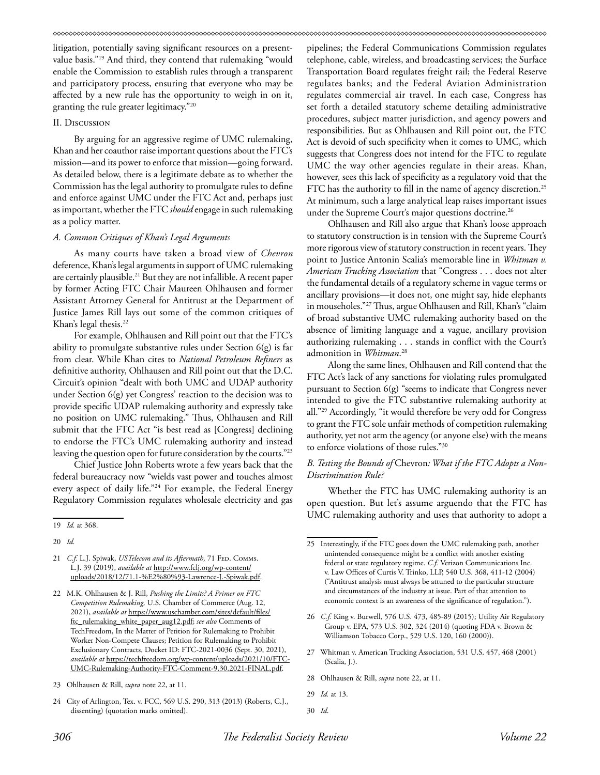litigation, potentially saving significant resources on a presentvalue basis."19 And third, they contend that rulemaking "would enable the Commission to establish rules through a transparent and participatory process, ensuring that everyone who may be affected by a new rule has the opportunity to weigh in on it, granting the rule greater legitimacy."20

#### II. Discussion

By arguing for an aggressive regime of UMC rulemaking, Khan and her coauthor raise important questions about the FTC's mission—and its power to enforce that mission—going forward. As detailed below, there is a legitimate debate as to whether the Commission has the legal authority to promulgate rules to define and enforce against UMC under the FTC Act and, perhaps just as important, whether the FTC *should* engage in such rulemaking as a policy matter.

### *A. Common Critiques of Khan's Legal Arguments*

As many courts have taken a broad view of *Chevron* deference, Khan's legal arguments in support of UMC rulemaking are certainly plausible.21 But they are not infallible. A recent paper by former Acting FTC Chair Maureen Ohlhausen and former Assistant Attorney General for Antitrust at the Department of Justice James Rill lays out some of the common critiques of Khan's legal thesis.<sup>22</sup>

For example, Ohlhausen and Rill point out that the FTC's ability to promulgate substantive rules under Section 6(g) is far from clear. While Khan cites to *National Petroleum Refiners* as definitive authority, Ohlhausen and Rill point out that the D.C. Circuit's opinion "dealt with both UMC and UDAP authority under Section 6(g) yet Congress' reaction to the decision was to provide specific UDAP rulemaking authority and expressly take no position on UMC rulemaking." Thus, Ohlhausen and Rill submit that the FTC Act "is best read as [Congress] declining to endorse the FTC's UMC rulemaking authority and instead leaving the question open for future consideration by the courts."23

Chief Justice John Roberts wrote a few years back that the federal bureaucracy now "wields vast power and touches almost every aspect of daily life."24 For example, the Federal Energy Regulatory Commission regulates wholesale electricity and gas

- 21 *C.f.* L.J. Spiwak, *USTelecom and its Aftermath*, 71 FED. COMMS. L.J. 39 (2019), *available at* http://www.fclj.org/wp-content/ uploads/2018/12/71.1-%E2%80%93-Lawrence-J.-Spiwak.pdf.
- 22 M.K. Ohlhausen & J. Rill, *Pushing the Limits? A Primer on FTC Competition Rulemaking,* U.S. Chamber of Commerce (Aug. 12, 2021), *available at* https://www.uschamber.com/sites/default/files/ ftc\_rulemaking\_white\_paper\_aug12.pdf; *see also* Comments of TechFreedom, In the Matter of Petition for Rulemaking to Prohibit Worker Non-Compete Clauses; Petition for Rulemaking to Prohibit Exclusionary Contracts, Docket ID: FTC-2021-0036 (Sept. 30, 2021), *available at* https://techfreedom.org/wp-content/uploads/2021/10/FTC-UMC-Rulemaking-Authority-FTC-Comment-9.30.2021-FINAL.pdf.

pipelines; the Federal Communications Commission regulates telephone, cable, wireless, and broadcasting services; the Surface Transportation Board regulates freight rail; the Federal Reserve regulates banks; and the Federal Aviation Administration regulates commercial air travel. In each case, Congress has set forth a detailed statutory scheme detailing administrative procedures, subject matter jurisdiction, and agency powers and responsibilities. But as Ohlhausen and Rill point out, the FTC Act is devoid of such specificity when it comes to UMC, which suggests that Congress does not intend for the FTC to regulate UMC the way other agencies regulate in their areas. Khan, however, sees this lack of specificity as a regulatory void that the FTC has the authority to fill in the name of agency discretion.<sup>25</sup> At minimum, such a large analytical leap raises important issues under the Supreme Court's major questions doctrine.<sup>26</sup>

Ohlhausen and Rill also argue that Khan's loose approach to statutory construction is in tension with the Supreme Court's more rigorous view of statutory construction in recent years. They point to Justice Antonin Scalia's memorable line in *Whitman v. American Trucking Association* that "Congress . . . does not alter the fundamental details of a regulatory scheme in vague terms or ancillary provisions—it does not, one might say, hide elephants in mouseholes."27 Thus, argue Ohlhausen and Rill, Khan's "claim of broad substantive UMC rulemaking authority based on the absence of limiting language and a vague, ancillary provision authorizing rulemaking . . . stands in conflict with the Court's admonition in *Whitman*. 28

Along the same lines, Ohlhausen and Rill contend that the FTC Act's lack of any sanctions for violating rules promulgated pursuant to Section 6(g) "seems to indicate that Congress never intended to give the FTC substantive rulemaking authority at all."29 Accordingly, "it would therefore be very odd for Congress to grant the FTC sole unfair methods of competition rulemaking authority, yet not arm the agency (or anyone else) with the means to enforce violations of those rules."30

# *B. Testing the Bounds of* Chevron*: What if the FTC Adopts a Non-Discrimination Rule?*

Whether the FTC has UMC rulemaking authority is an open question. But let's assume arguendo that the FTC has UMC rulemaking authority and uses that authority to adopt a

- 27 Whitman v. American Trucking Association, 531 U.S. 457, 468 (2001) (Scalia, J.).
- 28 Ohlhausen & Rill, *supra* note 22, at 11.
- 29 *Id.* at 13.

<sup>19</sup> *Id.* at 368.

<sup>20</sup> *Id.*

<sup>23</sup> Ohlhausen & Rill, *supra* note 22, at 11.

<sup>24</sup> City of Arlington, Tex. v. FCC, 569 U.S. 290, 313 (2013) (Roberts, C.J., dissenting) (quotation marks omitted).

<sup>25</sup> Interestingly, if the FTC goes down the UMC rulemaking path, another unintended consequence might be a conflict with another existing federal or state regulatory regime. *C.f.* Verizon Communications Inc. v. Law Offices of Curtis V. Trinko, LLP, 540 U.S. 368, 411-12 (2004) ("Antitrust analysis must always be attuned to the particular structure and circumstances of the industry at issue. Part of that attention to economic context is an awareness of the significance of regulation.").

<sup>26</sup> *C.f.* King v. Burwell, 576 U.S. 473, 485-89 (2015); Utility Air Regulatory Group v. EPA, 573 U.S. 302, 324 (2014) (quoting FDA v. Brown & Williamson Tobacco Corp., 529 U.S. 120, 160 (2000)).

<sup>30</sup> *Id*.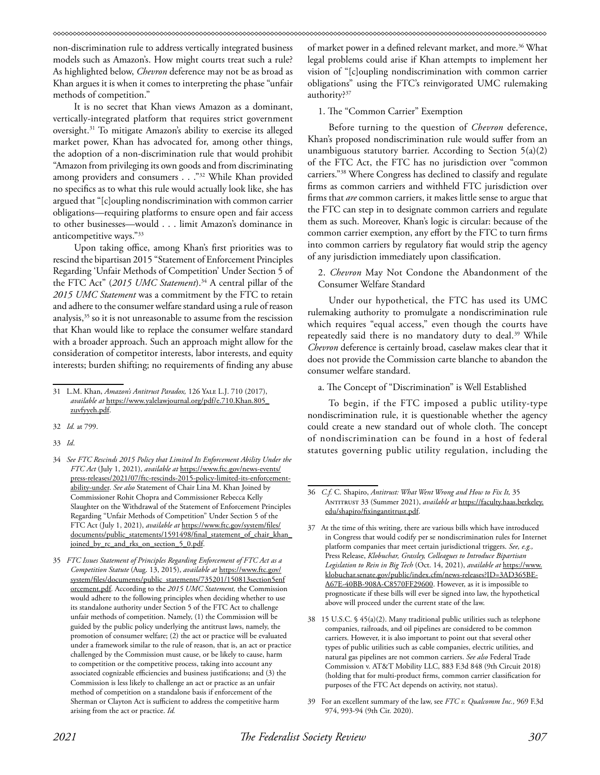non-discrimination rule to address vertically integrated business models such as Amazon's. How might courts treat such a rule? As highlighted below, *Chevron* deference may not be as broad as Khan argues it is when it comes to interpreting the phase "unfair methods of competition."

It is no secret that Khan views Amazon as a dominant, vertically-integrated platform that requires strict government oversight.31 To mitigate Amazon's ability to exercise its alleged market power, Khan has advocated for, among other things, the adoption of a non-discrimination rule that would prohibit "Amazon from privileging its own goods and from discriminating among providers and consumers . . . "32 While Khan provided no specifics as to what this rule would actually look like, she has argued that "[c]oupling nondiscrimination with common carrier obligations—requiring platforms to ensure open and fair access to other businesses—would . . . limit Amazon's dominance in anticompetitive ways."33

Upon taking office, among Khan's first priorities was to rescind the bipartisan 2015 "Statement of Enforcement Principles Regarding 'Unfair Methods of Competition' Under Section 5 of the FTC Act" (2015 UMC Statement).<sup>34</sup> A central pillar of the *2015 UMC Statement* was a commitment by the FTC to retain and adhere to the consumer welfare standard using a rule of reason analysis,<sup>35</sup> so it is not unreasonable to assume from the rescission that Khan would like to replace the consumer welfare standard with a broader approach. Such an approach might allow for the consideration of competitor interests, labor interests, and equity interests; burden shifting; no requirements of finding any abuse of market power in a defined relevant market, and more.<sup>36</sup> What legal problems could arise if Khan attempts to implement her vision of "[c]oupling nondiscrimination with common carrier obligations" using the FTC's reinvigorated UMC rulemaking authority?<sup>37</sup>

1. The "Common Carrier" Exemption

Before turning to the question of *Chevron* deference, Khan's proposed nondiscrimination rule would suffer from an unambiguous statutory barrier. According to Section 5(a)(2) of the FTC Act, the FTC has no jurisdiction over "common carriers."38 Where Congress has declined to classify and regulate firms as common carriers and withheld FTC jurisdiction over firms that *are* common carriers, it makes little sense to argue that the FTC can step in to designate common carriers and regulate them as such. Moreover, Khan's logic is circular: because of the common carrier exemption, any effort by the FTC to turn firms into common carriers by regulatory fiat would strip the agency of any jurisdiction immediately upon classification.

2. *Chevron* May Not Condone the Abandonment of the Consumer Welfare Standard

Under our hypothetical, the FTC has used its UMC rulemaking authority to promulgate a nondiscrimination rule which requires "equal access," even though the courts have repeatedly said there is no mandatory duty to deal.<sup>39</sup> While *Chevron* deference is certainly broad, caselaw makes clear that it does not provide the Commission carte blanche to abandon the consumer welfare standard.

a. The Concept of "Discrimination" is Well Established

To begin, if the FTC imposed a public utility-type nondiscrimination rule, it is questionable whether the agency could create a new standard out of whole cloth. The concept of nondiscrimination can be found in a host of federal statutes governing public utility regulation, including the

<sup>31</sup> L.M. Khan, *Amazon's Antitrust Paradox,* 126 Yale L.J. 710 (2017), *available at* https://www.yalelawjournal.org/pdf/e.710.Khan.805\_ zuvfyyeh.pdf.

<sup>32</sup> *Id.* at 799.

<sup>33</sup> *Id*.

<sup>34</sup> *See FTC Rescinds 2015 Policy that Limited Its Enforcement Ability Under the FTC Act* (July 1, 2021), *available at* https://www.ftc.gov/news-events/ press-releases/2021/07/ftc-rescinds-2015-policy-limited-its-enforcementability-under. *See also* Statement of Chair Lina M. Khan Joined by Commissioner Rohit Chopra and Commissioner Rebecca Kelly Slaughter on the Withdrawal of the Statement of Enforcement Principles Regarding "Unfair Methods of Competition" Under Section 5 of the FTC Act (July 1, 2021), *available at* https://www.ftc.gov/system/files/ documents/public\_statements/1591498/final\_statement\_of\_chair\_khan joined\_by\_rc\_and\_rks\_on\_section\_5\_0.pdf.

<sup>35</sup> *FTC Issues Statement of Principles Regarding Enforcement of FTC Act as a Competition Statute* (Aug. 13, 2015), *available at* https://www.ftc.gov/ system/files/documents/public\_statements/735201/150813section5enf orcement.pdf. According to the *2015 UMC Statement,* the Commission would adhere to the following principles when deciding whether to use its standalone authority under Section 5 of the FTC Act to challenge unfair methods of competition. Namely, (1) the Commission will be guided by the public policy underlying the antitrust laws, namely, the promotion of consumer welfare; (2) the act or practice will be evaluated under a framework similar to the rule of reason, that is, an act or practice challenged by the Commission must cause, or be likely to cause, harm to competition or the competitive process, taking into account any associated cognizable efficiencies and business justifications; and (3) the Commission is less likely to challenge an act or practice as an unfair method of competition on a standalone basis if enforcement of the Sherman or Clayton Act is sufficient to address the competitive harm arising from the act or practice. *Id.*

<sup>36</sup> *C.f.* C. Shapiro, *Antitrust: What Went Wrong and How to Fix It,* 35 Antitrust 33 (Summer 2021), *available at* https://faculty.haas.berkeley. edu/shapiro/fixingantitrust.pdf.

<sup>37</sup> At the time of this writing, there are various bills which have introduced in Congress that would codify per se nondiscrimination rules for Internet platform companies thar meet certain jurisdictional triggers. *See, e.g.,* Press Release, *Klobuchar, Grassley, Colleagues to Introduce Bipartisan Legislation to Rein in Big Tech* (Oct. 14, 2021), *available at* https://www. klobuchar.senate.gov/public/index.cfm/news-releases?ID=3AD365BE-A67E-40BB-908A-C8570FF29600. However, as it is impossible to prognosticate if these bills will ever be signed into law, the hypothetical above will proceed under the current state of the law.

<sup>38 15</sup> U.S.C. § 45(a)(2). Many traditional public utilities such as telephone companies, railroads, and oil pipelines are considered to be common carriers. However, it is also important to point out that several other types of public utilities such as cable companies, electric utilities, and natural gas pipelines are not common carriers. *See also* Federal Trade Commission v. AT&T Mobility LLC, 883 F.3d 848 (9th Circuit 2018) (holding that for multi-product firms, common carrier classification for purposes of the FTC Act depends on activity, not status).

<sup>39</sup> For an excellent summary of the law, see *FTC v. Qualcomm Inc.,* 969 F.3d 974, 993-94 (9th Cir. 2020).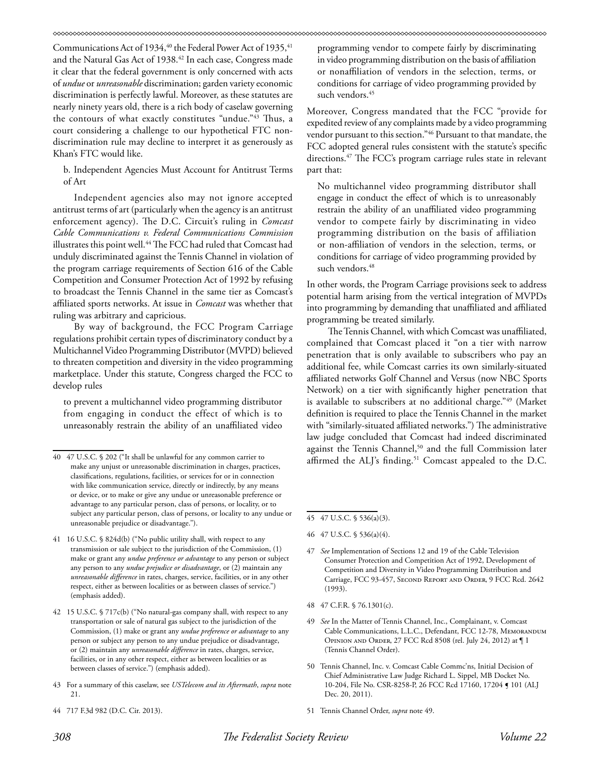Communications Act of 1934,<sup>40</sup> the Federal Power Act of 1935,<sup>41</sup> and the Natural Gas Act of 1938.<sup>42</sup> In each case, Congress made it clear that the federal government is only concerned with acts of *undue* or *unreasonable* discrimination; garden variety economic discrimination is perfectly lawful. Moreover, as these statutes are nearly ninety years old, there is a rich body of caselaw governing the contours of what exactly constitutes "undue."43 Thus, a court considering a challenge to our hypothetical FTC nondiscrimination rule may decline to interpret it as generously as Khan's FTC would like.

b. Independent Agencies Must Account for Antitrust Terms of Art

Independent agencies also may not ignore accepted antitrust terms of art (particularly when the agency is an antitrust enforcement agency). The D.C. Circuit's ruling in *Comcast Cable Communications v. Federal Communications Commission* illustrates this point well.44 The FCC had ruled that Comcast had unduly discriminated against the Tennis Channel in violation of the program carriage requirements of Section 616 of the Cable Competition and Consumer Protection Act of 1992 by refusing to broadcast the Tennis Channel in the same tier as Comcast's affiliated sports networks. At issue in *Comcast* was whether that ruling was arbitrary and capricious.

By way of background, the FCC Program Carriage regulations prohibit certain types of discriminatory conduct by a Multichannel Video Programming Distributor (MVPD) believed to threaten competition and diversity in the video programming marketplace. Under this statute, Congress charged the FCC to develop rules

to prevent a multichannel video programming distributor from engaging in conduct the effect of which is to unreasonably restrain the ability of an unaffiliated video

- 43 For a summary of this caselaw, see *USTelecom and its Aftermath*, *supra* note 21.
- 44 717 F.3d 982 (D.C. Cir. 2013).

programming vendor to compete fairly by discriminating in video programming distribution on the basis of affiliation or nonaffiliation of vendors in the selection, terms, or conditions for carriage of video programming provided by such vendors.<sup>45</sup>

Moreover, Congress mandated that the FCC "provide for expedited review of any complaints made by a video programming vendor pursuant to this section."46 Pursuant to that mandate, the FCC adopted general rules consistent with the statute's specific directions.<sup>47</sup> The FCC's program carriage rules state in relevant part that:

No multichannel video programming distributor shall engage in conduct the effect of which is to unreasonably restrain the ability of an unaffiliated video programming vendor to compete fairly by discriminating in video programming distribution on the basis of affiliation or non-affiliation of vendors in the selection, terms, or conditions for carriage of video programming provided by such vendors.<sup>48</sup>

In other words, the Program Carriage provisions seek to address potential harm arising from the vertical integration of MVPDs into programming by demanding that unaffiliated and affiliated programming be treated similarly.

The Tennis Channel, with which Comcast was unaffiliated, complained that Comcast placed it "on a tier with narrow penetration that is only available to subscribers who pay an additional fee, while Comcast carries its own similarly-situated affiliated networks Golf Channel and Versus (now NBC Sports Network) on a tier with significantly higher penetration that is available to subscribers at no additional charge."49 (Market definition is required to place the Tennis Channel in the market with "similarly-situated affiliated networks.") The administrative law judge concluded that Comcast had indeed discriminated against the Tennis Channel,<sup>50</sup> and the full Commission later affirmed the ALJ's finding.<sup>51</sup> Comcast appealed to the D.C.

- 48 47 C.F.R. § 76.1301(c).
- 49 *See* In the Matter of Tennis Channel, Inc., Complainant, v. Comcast Cable Communications, L.L.C., Defendant, FCC 12-78, Memorandum Opinion and Order, 27 FCC Rcd 8508 (rel. July 24, 2012) at ¶ 1 (Tennis Channel Order).
- 50 Tennis Channel, Inc. v. Comcast Cable Commc'ns, Initial Decision of Chief Administrative Law Judge Richard L. Sippel, MB Docket No. 10-204, File No. CSR-8258-P, 26 FCC Rcd 17160, 17204 ¶ 101 (ALJ Dec. 20, 2011).
- 51 Tennis Channel Order, *supra* note 49.

<sup>40 47</sup> U.S.C. § 202 ("It shall be unlawful for any common carrier to make any unjust or unreasonable discrimination in charges, practices, classifications, regulations, facilities, or services for or in connection with like communication service, directly or indirectly, by any means or device, or to make or give any undue or unreasonable preference or advantage to any particular person, class of persons, or locality, or to subject any particular person, class of persons, or locality to any undue or unreasonable prejudice or disadvantage.").

<sup>41 16</sup> U.S.C. § 824d(b) ("No public utility shall, with respect to any transmission or sale subject to the jurisdiction of the Commission, (1) make or grant any *undue preference or advantage* to any person or subject any person to any *undue prejudice or disadvantage*, or (2) maintain any *unreasonable difference* in rates, charges, service, facilities, or in any other respect, either as between localities or as between classes of service.") (emphasis added).

<sup>42 15</sup> U.S.C. § 717c(b) ("No natural-gas company shall, with respect to any transportation or sale of natural gas subject to the jurisdiction of the Commission, (1) make or grant any *undue preference or advantage* to any person or subject any person to any undue prejudice or disadvantage, or (2) maintain any *unreasonable difference* in rates, charges, service, facilities, or in any other respect, either as between localities or as between classes of service.") (emphasis added).

<sup>45 47</sup> U.S.C. § 536(a)(3).

<sup>46 47</sup> U.S.C. § 536(a)(4).

<sup>47</sup> *See* Implementation of Sections 12 and 19 of the Cable Television Consumer Protection and Competition Act of 1992, Development of Competition and Diversity in Video Programming Distribution and Carriage, FCC 93-457, Second Report and Order, 9 FCC Rcd. 2642 (1993).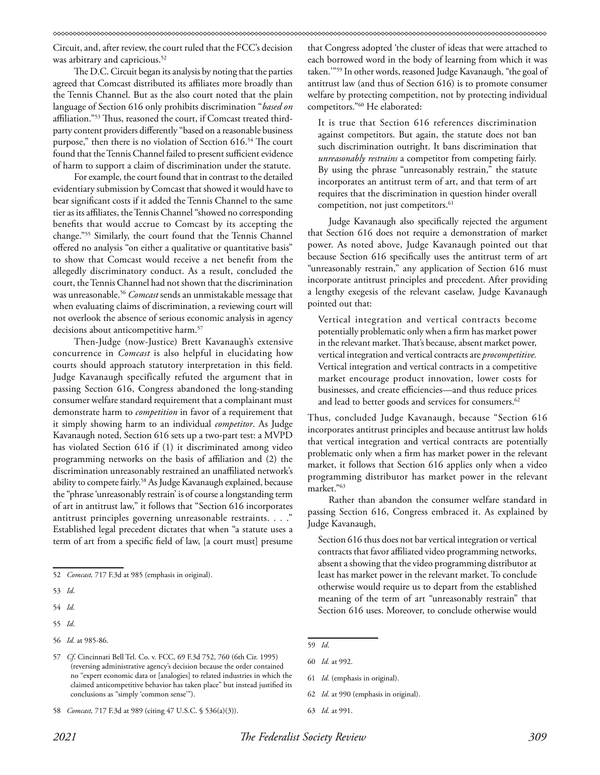Circuit, and, after review, the court ruled that the FCC's decision was arbitrary and capricious.<sup>52</sup>

The D.C. Circuit began its analysis by noting that the parties agreed that Comcast distributed its affiliates more broadly than the Tennis Channel. But as the also court noted that the plain language of Section 616 only prohibits discrimination "*based on* affiliation."53 Thus, reasoned the court, if Comcast treated thirdparty content providers differently "based on a reasonable business purpose," then there is no violation of Section 616.54 The court found that the Tennis Channel failed to present sufficient evidence of harm to support a claim of discrimination under the statute.

For example, the court found that in contrast to the detailed evidentiary submission by Comcast that showed it would have to bear significant costs if it added the Tennis Channel to the same tier as its affiliates, the Tennis Channel "showed no corresponding benefits that would accrue to Comcast by its accepting the change."55 Similarly, the court found that the Tennis Channel offered no analysis "on either a qualitative or quantitative basis" to show that Comcast would receive a net benefit from the allegedly discriminatory conduct. As a result, concluded the court, the Tennis Channel had not shown that the discrimination was unreasonable.56 *Comcast* sends an unmistakable message that when evaluating claims of discrimination, a reviewing court will not overlook the absence of serious economic analysis in agency decisions about anticompetitive harm.57

Then-Judge (now-Justice) Brett Kavanaugh's extensive concurrence in *Comcast* is also helpful in elucidating how courts should approach statutory interpretation in this field. Judge Kavanaugh specifically refuted the argument that in passing Section 616, Congress abandoned the long-standing consumer welfare standard requirement that a complainant must demonstrate harm to *competition* in favor of a requirement that it simply showing harm to an individual *competitor*. As Judge Kavanaugh noted, Section 616 sets up a two-part test: a MVPD has violated Section 616 if (1) it discriminated among video programming networks on the basis of affiliation and (2) the discrimination unreasonably restrained an unaffiliated network's ability to compete fairly.58 As Judge Kavanaugh explained, because the "phrase 'unreasonably restrain' is of course a longstanding term of art in antitrust law," it follows that "Section 616 incorporates antitrust principles governing unreasonable restraints. . . ." Established legal precedent dictates that when "a statute uses a term of art from a specific field of law, [a court must] presume

- 54 *Id*.
- 55 *Id*.

that Congress adopted 'the cluster of ideas that were attached to each borrowed word in the body of learning from which it was taken.'"59 In other words, reasoned Judge Kavanaugh, "the goal of antitrust law (and thus of Section 616) is to promote consumer welfare by protecting competition, not by protecting individual competitors."60 He elaborated:

It is true that Section 616 references discrimination against competitors. But again, the statute does not ban such discrimination outright. It bans discrimination that *unreasonably restrains* a competitor from competing fairly. By using the phrase "unreasonably restrain," the statute incorporates an antitrust term of art, and that term of art requires that the discrimination in question hinder overall competition, not just competitors.<sup>61</sup>

Judge Kavanaugh also specifically rejected the argument that Section 616 does not require a demonstration of market power. As noted above, Judge Kavanaugh pointed out that because Section 616 specifically uses the antitrust term of art "unreasonably restrain," any application of Section 616 must incorporate antitrust principles and precedent. After providing a lengthy exegesis of the relevant caselaw, Judge Kavanaugh pointed out that:

Vertical integration and vertical contracts become potentially problematic only when a firm has market power in the relevant market. That's because, absent market power, vertical integration and vertical contracts are *procompetitive.* Vertical integration and vertical contracts in a competitive market encourage product innovation, lower costs for businesses, and create efficiencies—and thus reduce prices and lead to better goods and services for consumers.<sup>62</sup>

Thus, concluded Judge Kavanaugh, because "Section 616 incorporates antitrust principles and because antitrust law holds that vertical integration and vertical contracts are potentially problematic only when a firm has market power in the relevant market, it follows that Section 616 applies only when a video programming distributor has market power in the relevant market."63

Rather than abandon the consumer welfare standard in passing Section 616, Congress embraced it. As explained by Judge Kavanaugh,

Section 616 thus does not bar vertical integration or vertical contracts that favor affiliated video programming networks, absent a showing that the video programming distributor at least has market power in the relevant market. To conclude otherwise would require us to depart from the established meaning of the term of art "unreasonably restrain" that Section 616 uses. Moreover, to conclude otherwise would

62 *Id.* at 990 (emphasis in original).

<sup>52</sup> *Comcast,* 717 F.3d at 985 (emphasis in original).

<sup>53</sup> *Id*.

<sup>56</sup> *Id.* at 985-86.

<sup>57</sup> *Cf*. Cincinnati Bell Tel. Co. v. FCC, 69 F.3d 752, 760 (6th Cir. 1995) (reversing administrative agency's decision because the order contained no "expert economic data or [analogies] to related industries in which the claimed anticompetitive behavior has taken place" but instead justified its conclusions as "simply 'common sense'").

<sup>58</sup> *Comcast,* 717 F.3d at 989 (citing 47 U.S.C. § 536(a)(3)).

<sup>59</sup> *Id*.

<sup>60</sup> *Id.* at 992.

<sup>61</sup> *Id.* (emphasis in original).

<sup>63</sup> *Id.* at 991.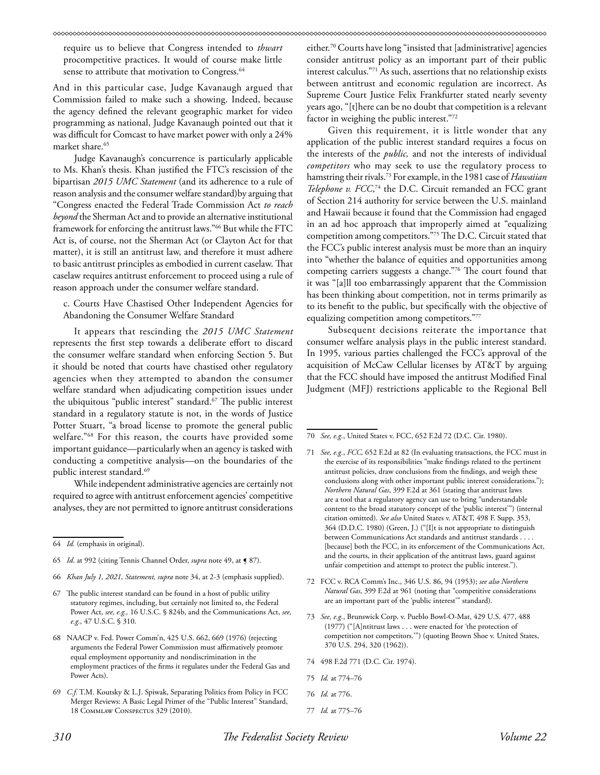require us to believe that Congress intended to *thwart* procompetitive practices. It would of course make little sense to attribute that motivation to Congress.<sup>64</sup>

And in this particular case, Judge Kavanaugh argued that Commission failed to make such a showing. Indeed, because the agency defined the relevant geographic market for video programming as national, Judge Kavanaugh pointed out that it was difficult for Comcast to have market power with only a 24% market share.<sup>65</sup>

Judge Kavanaugh's concurrence is particularly applicable to Ms. Khan's thesis. Khan justified the FTC's rescission of the bipartisan *2015 UMC Statement* (and its adherence to a rule of reason analysis and the consumer welfare standard)by arguing that "Congress enacted the Federal Trade Commission Act *to reach beyond* the Sherman Act and to provide an alternative institutional framework for enforcing the antitrust laws."66 But while the FTC Act is, of course, not the Sherman Act (or Clayton Act for that matter), it is still an antitrust law, and therefore it must adhere to basic antitrust principles as embodied in current caselaw. That caselaw requires antitrust enforcement to proceed using a rule of reason approach under the consumer welfare standard.

c. Courts Have Chastised Other Independent Agencies for Abandoning the Consumer Welfare Standard

It appears that rescinding the *2015 UMC Statement* represents the first step towards a deliberate effort to discard the consumer welfare standard when enforcing Section 5. But it should be noted that courts have chastised other regulatory agencies when they attempted to abandon the consumer welfare standard when adjudicating competition issues under the ubiquitous "public interest" standard.<sup>67</sup> The public interest standard in a regulatory statute is not, in the words of Justice Potter Stuart, "a broad license to promote the general public welfare."68 For this reason, the courts have provided some important guidance—particularly when an agency is tasked with conducting a competitive analysis—on the boundaries of the public interest standard.<sup>69</sup>

While independent administrative agencies are certainly not required to agree with antitrust enforcement agencies' competitive analyses, they are not permitted to ignore antitrust considerations

- 66 *Khan July 1, 2021, Statement, supra* note 34, at 2-3 (emphasis supplied).
- 67 The public interest standard can be found in a host of public utility statutory regimes, including, but certainly not limited to, the Federal Power Act, *see, e.g.,* 16 U.S.C. § 824b, and the Communications Act, *see, e.g.,* 47 U.S.C. § 310.
- 68 NAACP v. Fed. Power Comm'n, 425 U.S. 662, 669 (1976) (rejecting arguments the Federal Power Commission must affirmatively promote equal employment opportunity and nondiscrimination in the employment practices of the firms it regulates under the Federal Gas and Power Acts).
- 69 *C.f.* T.M. Koutsky & L.J. Spiwak, Separating Politics from Policy in FCC Merger Reviews: A Basic Legal Primer of the "Public Interest" Standard, 18 Commlaw Conspectus 329 (2010).

either.70 Courts have long "insisted that [administrative] agencies consider antitrust policy as an important part of their public interest calculus."71 As such, assertions that no relationship exists between antitrust and economic regulation are incorrect. As Supreme Court Justice Felix Frankfurter stated nearly seventy years ago, "[t]here can be no doubt that competition is a relevant factor in weighing the public interest."72

Given this requirement, it is little wonder that any application of the public interest standard requires a focus on the interests of the *public,* and not the interests of individual *competitors* who may seek to use the regulatory process to hamstring their rivals.73 For example, in the 1981 case of *Hawaiian Telephone v. FCC*, 74 the D.C. Circuit remanded an FCC grant of Section 214 authority for service between the U.S. mainland and Hawaii because it found that the Commission had engaged in an ad hoc approach that improperly aimed at "equalizing competition among competitors."75 The D.C. Circuit stated that the FCC's public interest analysis must be more than an inquiry into "whether the balance of equities and opportunities among competing carriers suggests a change."76 The court found that it was "[a]ll too embarrassingly apparent that the Commission has been thinking about competition, not in terms primarily as to its benefit to the public, but specifically with the objective of equalizing competition among competitors."77

Subsequent decisions reiterate the importance that consumer welfare analysis plays in the public interest standard. In 1995, various parties challenged the FCC's approval of the acquisition of McCaw Cellular licenses by AT&T by arguing that the FCC should have imposed the antitrust Modified Final Judgment (MFJ) restrictions applicable to the Regional Bell

- 71 *See, e.g.*, *FCC,* 652 F.2d at 82 (In evaluating transactions, the FCC must in the exercise of its responsibilities "make findings related to the pertinent antitrust policies, draw conclusions from the findings, and weigh these conclusions along with other important public interest considerations."); *Northern Natural Gas*, 399 F.2d at 361 (stating that antitrust laws are a tool that a regulatory agency can use to bring "understandable content to the broad statutory concept of the 'public interest'") (internal citation omitted). *See also* United States v. AT&T, 498 F. Supp. 353, 364 (D.D.C. 1980) (Green, J.) ("[I]t is not appropriate to distinguish between Communications Act standards and antitrust standards . . . . [because] both the FCC, in its enforcement of the Communications Act, and the courts, in their application of the antitrust laws, guard against unfair competition and attempt to protect the public interest.").
- 72 FCC v. RCA Comm's Inc., 346 U.S. 86, 94 (1953); *see also Northern Natural Gas*, 399 F.2d at 961 (noting that "competitive considerations are an important part of the 'public interest'" standard).
- 73 *See, e.g.*, Brunswick Corp. v. Pueblo Bowl-O-Mat, 429 U.S. 477, 488 (1977) ("[A]ntitrust laws . . . were enacted for 'the protection of competition not competitors.'") (quoting Brown Shoe v. United States, 370 U.S. 294, 320 (1962)).
- 74 498 F.2d 771 (D.C. Cir. 1974).
- 75 *Id.* at 774–76
- 76 *Id.* at 776.
- 77 *Id.* at 775–76

<sup>64</sup> *Id.* (emphasis in original).

<sup>65</sup> *Id.* at 992 (citing Tennis Channel Order, *supra* note 49, at  $\leq 87$ ).

<sup>70</sup> *See, e.g.*, United States v. FCC, 652 F.2d 72 (D.C. Cir. 1980).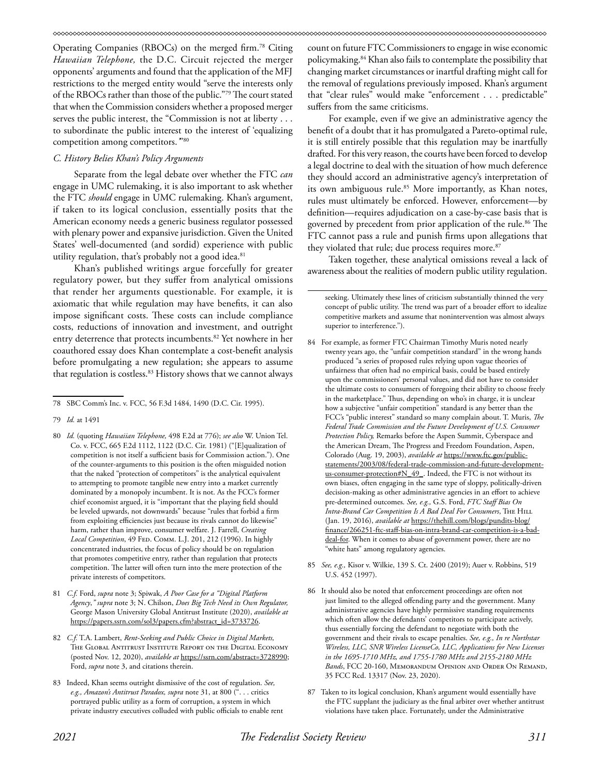Operating Companies (RBOCs) on the merged firm.78 Citing *Hawaiian Telephone,* the D.C. Circuit rejected the merger opponents' arguments and found that the application of the MFJ restrictions to the merged entity would "serve the interests only of the RBOCs rather than those of the public."79 The court stated that when the Commission considers whether a proposed merger serves the public interest, the "Commission is not at liberty . . . to subordinate the public interest to the interest of 'equalizing competition among competitors.*'*"80

#### *C. History Belies Khan's Policy Arguments*

Separate from the legal debate over whether the FTC *can*  engage in UMC rulemaking, it is also important to ask whether the FTC *should* engage in UMC rulemaking. Khan's argument, if taken to its logical conclusion, essentially posits that the American economy needs a generic business regulator possessed with plenary power and expansive jurisdiction. Given the United States' well-documented (and sordid) experience with public utility regulation, that's probably not a good idea.<sup>81</sup>

Khan's published writings argue forcefully for greater regulatory power, but they suffer from analytical omissions that render her arguments questionable. For example, it is axiomatic that while regulation may have benefits, it can also impose significant costs. These costs can include compliance costs, reductions of innovation and investment, and outright entry deterrence that protects incumbents.<sup>82</sup> Yet nowhere in her coauthored essay does Khan contemplate a cost-benefit analysis before promulgating a new regulation; she appears to assume that regulation is costless.<sup>83</sup> History shows that we cannot always

- 81 *C.f.* Ford, *supra* note 3; Spiwak, *A Poor Case for a "Digital Platform Agency*,*" supra* note 3; N. Chilson, *Does Big Tech Need its Own Regulator,*  George Mason University Global Antitrust Institute (2020), *available at* https://papers.ssrn.com/sol3/papers.cfm?abstract\_id=3733726.
- 82 *C.f.* T.A. Lambert, *Rent-Seeking and Public Choice in Digital Markets,*  The Global Antitrust Institute Report on the Digital Economy (posted Nov. 12, 2020), *available at* https://ssrn.com/abstract=3728990; Ford, *supra* note 3, and citations therein.
- 83 Indeed, Khan seems outright dismissive of the cost of regulation. *See, e.g., Amazon's Antitrust Paradox, supra* note 31, at 800 (". . . critics portrayed public utility as a form of corruption, a system in which private industry executives colluded with public officials to enable rent

count on future FTC Commissioners to engage in wise economic policymaking.84 Khan also fails to contemplate the possibility that changing market circumstances or inartful drafting might call for the removal of regulations previously imposed. Khan's argument that "clear rules" would make "enforcement . . . predictable" suffers from the same criticisms.

For example, even if we give an administrative agency the benefit of a doubt that it has promulgated a Pareto-optimal rule, it is still entirely possible that this regulation may be inartfully drafted. For this very reason, the courts have been forced to develop a legal doctrine to deal with the situation of how much deference they should accord an administrative agency's interpretation of its own ambiguous rule.<sup>85</sup> More importantly, as Khan notes, rules must ultimately be enforced. However, enforcement—by definition—requires adjudication on a case-by-case basis that is governed by precedent from prior application of the rule.<sup>86</sup> The FTC cannot pass a rule and punish firms upon allegations that they violated that rule; due process requires more.<sup>87</sup>

Taken together, these analytical omissions reveal a lack of awareness about the realities of modern public utility regulation.

- 84 For example, as former FTC Chairman Timothy Muris noted nearly twenty years ago, the "unfair competition standard" in the wrong hands produced "a series of proposed rules relying upon vague theories of unfairness that often had no empirical basis, could be based entirely upon the commissioners' personal values, and did not have to consider the ultimate costs to consumers of foregoing their ability to choose freely in the marketplace." Thus, depending on who's in charge, it is unclear how a subjective "unfair competition" standard is any better than the FCC's "public interest" standard so many complain about. T. Muris, *The Federal Trade Commission and the Future Development of U.S. Consumer Protection Policy,* Remarks before the Aspen Summit, Cyberspace and the American Dream, The Progress and Freedom Foundation, Aspen, Colorado (Aug. 19, 2003), *available at* https://www.ftc.gov/publicstatements/2003/08/federal-trade-commission-and-future-developmentus-consumer-protection#N\_49\_. Indeed, the FTC is not without its own biases, often engaging in the same type of sloppy, politically-driven decision-making as other administrative agencies in an effort to achieve pre-determined outcomes. *See, e.g.,* G.S. Ford, *FTC Staff Bias On Intra-Brand Car Competition Is A Bad Deal For Consumers*, The Hill (Jan. 19, 2016), *available at* https://thehill.com/blogs/pundits-blog/ finance/266251-ftc-staff-bias-on-intra-brand-car-competition-is-a-baddeal-for. When it comes to abuse of government power, there are no "white hats" among regulatory agencies.
- 85 *See, e.g.,* Kisor v. Wilkie, 139 S. Ct. 2400 (2019); Auer v. Robbins, 519 U.S. 452 (1997).
- 86 It should also be noted that enforcement proceedings are often not just limited to the alleged offending party and the government. Many administrative agencies have highly permissive standing requirements which often allow the defendants' competitors to participate actively, thus essentially forcing the defendant to negotiate with both the government and their rivals to escape penalties. *See, e.g., In re Northstar Wireless, LLC, SNR Wireless LicenseCo, LLC, Applications for New Licenses in the 1695-1710 MHz, and 1755-1780 MHz and 2155-2180 MHz Bands*, FCC 20-160, Memorandum Opinion and Order On Remand, 35 FCC Rcd. 13317 (Nov. 23, 2020).
- 87 Taken to its logical conclusion, Khan's argument would essentially have the FTC supplant the judiciary as the final arbiter over whether antitrust violations have taken place. Fortunately, under the Administrative

<sup>78</sup> SBC Comm's Inc. v. FCC, 56 F.3d 1484, 1490 (D.C. Cir. 1995).

<sup>79</sup> *Id.* at 1491

<sup>80</sup> *Id.* (quoting *Hawaiian Telephone,* 498 F.2d at 776); *see also* W. Union Tel. Co. v. FCC, 665 F.2d 1112, 1122 (D.C. Cir. 1981) ("[E]qualization of competition is not itself a sufficient basis for Commission action."). One of the counter-arguments to this position is the often misguided notion that the naked "protection of competitors" is the analytical equivalent to attempting to promote tangible new entry into a market currently dominated by a monopoly incumbent. It is not. As the FCC's former chief economist argued, it is "important that the playing field should be leveled upwards, not downwards" because "rules that forbid a firm from exploiting efficiencies just because its rivals cannot do likewise" harm, rather than improve, consumer welfare. J. Farrell, *Creating Local Competition*, 49 Fed. Comm. L.J. 201, 212 (1996). In highly concentrated industries, the focus of policy should be on regulation that promotes competitive entry, rather than regulation that protects competition. The latter will often turn into the mere protection of the private interests of competitors.

seeking. Ultimately these lines of criticism substantially thinned the very concept of public utility. The trend was part of a broader effort to idealize competitive markets and assume that nonintervention was almost always superior to interference.").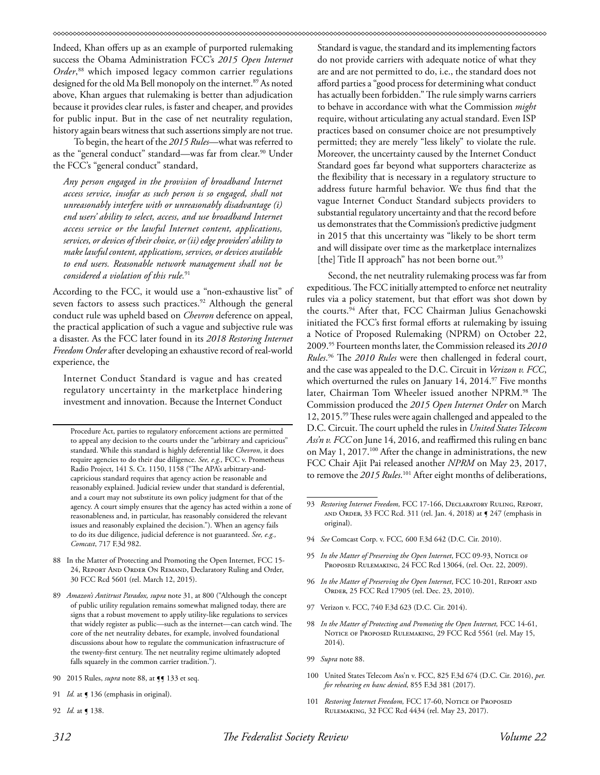Indeed, Khan offers up as an example of purported rulemaking success the Obama Administration FCC's *2015 Open Internet Order*, 88 which imposed legacy common carrier regulations designed for the old Ma Bell monopoly on the internet.<sup>89</sup> As noted above, Khan argues that rulemaking is better than adjudication because it provides clear rules, is faster and cheaper, and provides for public input. But in the case of net neutrality regulation, history again bears witness that such assertions simply are not true.

To begin, the heart of the *2015 Rules*—what was referred to as the "general conduct" standard—was far from clear.<sup>90</sup> Under the FCC's "general conduct" standard,

*Any person engaged in the provision of broadband Internet access service, insofar as such person is so engaged, shall not unreasonably interfere with or unreasonably disadvantage (i) end users' ability to select, access, and use broadband Internet access service or the lawful Internet content, applications, services, or devices of their choice, or (ii) edge providers' ability to make lawful content, applications, services, or devices available to end users. Reasonable network management shall not be considered a violation of this rule.*<sup>91</sup>

According to the FCC, it would use a "non-exhaustive list" of seven factors to assess such practices.<sup>92</sup> Although the general conduct rule was upheld based on *Chevron* deference on appeal, the practical application of such a vague and subjective rule was a disaster. As the FCC later found in its *2018 Restoring Internet Freedom Order* after developing an exhaustive record of real-world experience, the

Internet Conduct Standard is vague and has created regulatory uncertainty in the marketplace hindering investment and innovation. Because the Internet Conduct

88 In the Matter of Protecting and Promoting the Open Internet, FCC 15- 24, Report And Order On Remand, Declaratory Ruling and Order, 30 FCC Rcd 5601 (rel. March 12, 2015).

92 *Id.* at ¶ 138.

Standard is vague, the standard and its implementing factors do not provide carriers with adequate notice of what they are and are not permitted to do, i.e., the standard does not afford parties a "good process for determining what conduct has actually been forbidden." The rule simply warns carriers to behave in accordance with what the Commission *might*  require, without articulating any actual standard. Even ISP practices based on consumer choice are not presumptively permitted; they are merely "less likely" to violate the rule. Moreover, the uncertainty caused by the Internet Conduct Standard goes far beyond what supporters characterize as the flexibility that is necessary in a regulatory structure to address future harmful behavior. We thus find that the vague Internet Conduct Standard subjects providers to substantial regulatory uncertainty and that the record before us demonstrates that the Commission's predictive judgment in 2015 that this uncertainty was "likely to be short term and will dissipate over time as the marketplace internalizes [the] Title II approach" has not been borne out.<sup>93</sup>

Second, the net neutrality rulemaking process was far from expeditious. The FCC initially attempted to enforce net neutrality rules via a policy statement, but that effort was shot down by the courts.94 After that, FCC Chairman Julius Genachowski initiated the FCC's first formal efforts at rulemaking by issuing a Notice of Proposed Rulemaking (NPRM) on October 22, 2009.95 Fourteen months later, the Commission released its *2010 Rules*. 96 The *2010 Rules* were then challenged in federal court, and the case was appealed to the D.C. Circuit in *Verizon v. FCC*, which overturned the rules on January 14,  $2014.^{\circ}$ ? Five months later, Chairman Tom Wheeler issued another NPRM.<sup>98</sup> The Commission produced the *2015 Open Internet Order* on March 12, 2015.99 These rules were again challenged and appealed to the D.C. Circuit. The court upheld the rules in *United States Telecom Ass'n v. FCC* on June 14, 2016, and reaffirmed this ruling en banc on May 1, 2017.<sup>100</sup> After the change in administrations, the new FCC Chair Ajit Pai released another *NPRM* on May 23, 2017, to remove the *2015 Rules*. 101 After eight months of deliberations,

- 94 *See* Comcast Corp. v. FCC*,* 600 F.3d 642 (D.C. Cir. 2010).
- 95 *In the Matter of Preserving the Open Internet*, FCC 09-93, NOTICE OF Proposed Rulemaking, 24 FCC Rcd 13064, (rel. Oct. 22, 2009).
- 96 *In the Matter of Preserving the Open Internet*, FCC 10-201, Report and ORDER, 25 FCC Rcd 17905 (rel. Dec. 23, 2010).
- 97 Verizon v. FCC, 740 F.3d 623 (D.C. Cir. 2014).
- 98 *In the Matter of Protecting and Promoting the Open Internet,* FCC 14-61, NOTICE OF PROPOSED RULEMAKING, 29 FCC Rcd 5561 (rel. May 15, 2014).
- 99 *Supra* note 88.
- 100 United States Telecom Ass'n v. FCC, 825 F.3d 674 (D.C. Cir. 2016), *pet. for rehearing en banc denied*, 855 F.3d 381 (2017).
- 101 *Restoring Internet Freedom*, FCC 17-60, NOTICE OF PROPOSED Rulemaking, 32 FCC Rcd 4434 (rel. May 23, 2017).

Procedure Act, parties to regulatory enforcement actions are permitted to appeal any decision to the courts under the "arbitrary and capricious" standard. While this standard is highly deferential like *Chevron*, it does require agencies to do their due diligence. *See, e.g.,* FCC v. Prometheus Radio Project, 141 S. Ct. 1150, 1158 ("The APA's arbitrary-andcapricious standard requires that agency action be reasonable and reasonably explained. Judicial review under that standard is deferential, and a court may not substitute its own policy judgment for that of the agency. A court simply ensures that the agency has acted within a zone of reasonableness and, in particular, has reasonably considered the relevant issues and reasonably explained the decision."). When an agency fails to do its due diligence, judicial deference is not guaranteed. *See, e.g., Comcast*, 717 F.3d 982.

<sup>89</sup> *Amazon's Antitrust Paradox, supra* note 31, at 800 ("Although the concept of public utility regulation remains somewhat maligned today, there are signs that a robust movement to apply utility-like regulations to services that widely register as public—such as the internet—can catch wind. The core of the net neutrality debates, for example, involved foundational discussions about how to regulate the communication infrastructure of the twenty-first century. The net neutrality regime ultimately adopted falls squarely in the common carrier tradition.").

<sup>90 2015</sup> Rules, *supra* note 88, at  $\P$  133 et seq.

<sup>91</sup> *Id.* at  $\int$  136 (emphasis in original).

<sup>93</sup> *Restoring Internet Freedom*, FCC 17-166, DECLARATORY RULING, REPORT, and Order, 33 FCC Rcd. 311 (rel. Jan. 4, 2018) at ¶ 247 (emphasis in original).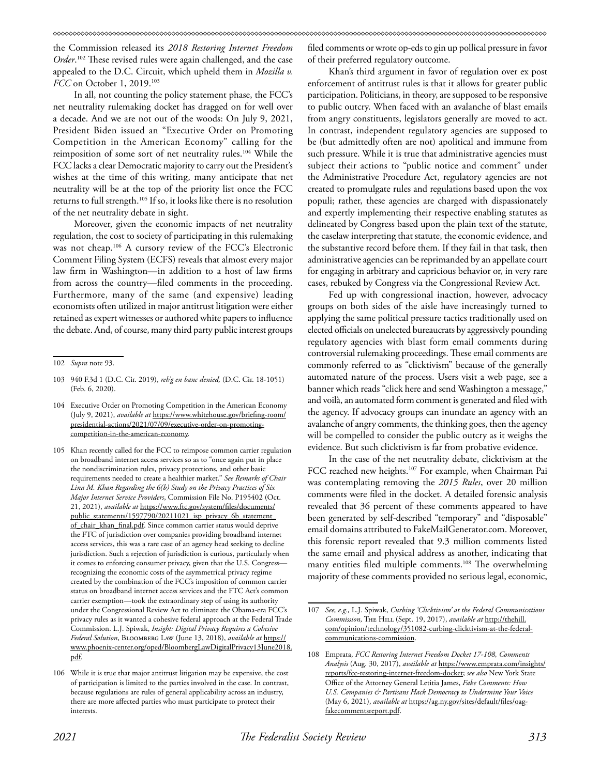the Commission released its *2018 Restoring Internet Freedom Order*. 102 These revised rules were again challenged, and the case appealed to the D.C. Circuit, which upheld them in *Mozilla v. FCC* on October 1, 2019.<sup>103</sup>

In all, not counting the policy statement phase, the FCC's net neutrality rulemaking docket has dragged on for well over a decade. And we are not out of the woods: On July 9, 2021, President Biden issued an "Executive Order on Promoting Competition in the American Economy" calling for the reimposition of some sort of net neutrality rules.104 While the FCC lacks a clear Democratic majority to carry out the President's wishes at the time of this writing, many anticipate that net neutrality will be at the top of the priority list once the FCC returns to full strength.105 If so, it looks like there is no resolution of the net neutrality debate in sight.

Moreover, given the economic impacts of net neutrality regulation, the cost to society of participating in this rulemaking was not cheap.<sup>106</sup> A cursory review of the FCC's Electronic Comment Filing System (ECFS) reveals that almost every major law firm in Washington—in addition to a host of law firms from across the country—filed comments in the proceeding. Furthermore, many of the same (and expensive) leading economists often utilized in major antitrust litigation were either retained as expert witnesses or authored white papers to influence the debate. And, of course, many third party public interest groups

filed comments or wrote op-eds to gin up pollical pressure in favor of their preferred regulatory outcome.

Khan's third argument in favor of regulation over ex post enforcement of antitrust rules is that it allows for greater public participation. Politicians, in theory, are supposed to be responsive to public outcry. When faced with an avalanche of blast emails from angry constituents, legislators generally are moved to act. In contrast, independent regulatory agencies are supposed to be (but admittedly often are not) apolitical and immune from such pressure. While it is true that administrative agencies must subject their actions to "public notice and comment" under the Administrative Procedure Act, regulatory agencies are not created to promulgate rules and regulations based upon the vox populi; rather, these agencies are charged with dispassionately and expertly implementing their respective enabling statutes as delineated by Congress based upon the plain text of the statute, the caselaw interpreting that statute, the economic evidence, and the substantive record before them. If they fail in that task, then administrative agencies can be reprimanded by an appellate court for engaging in arbitrary and capricious behavior or, in very rare cases, rebuked by Congress via the Congressional Review Act.

Fed up with congressional inaction, however, advocacy groups on both sides of the aisle have increasingly turned to applying the same political pressure tactics traditionally used on elected officials on unelected bureaucrats by aggressively pounding regulatory agencies with blast form email comments during controversial rulemaking proceedings. These email comments are commonly referred to as "clicktivism" because of the generally automated nature of the process. Users visit a web page, see a banner which reads "click here and send Washington a message," and voilà, an automated form comment is generated and filed with the agency. If advocacy groups can inundate an agency with an avalanche of angry comments, the thinking goes, then the agency will be compelled to consider the public outcry as it weighs the evidence. But such clicktivism is far from probative evidence.

In the case of the net neutrality debate, clicktivism at the FCC reached new heights.<sup>107</sup> For example, when Chairman Pai was contemplating removing the *2015 Rules*, over 20 million comments were filed in the docket. A detailed forensic analysis revealed that 36 percent of these comments appeared to have been generated by self-described "temporary" and "disposable" email domains attributed to FakeMailGenerator.com. Moreover, this forensic report revealed that 9.3 million comments listed the same email and physical address as another, indicating that many entities filed multiple comments.<sup>108</sup> The overwhelming majority of these comments provided no serious legal, economic,

<sup>102</sup> *Supra* note 93.

<sup>103 940</sup> F.3d 1 (D.C. Cir. 2019), *reh'g en banc denied,* (D.C. Cir. 18-1051) (Feb. 6, 2020).

<sup>104</sup> Executive Order on Promoting Competition in the American Economy (July 9, 2021), *available at* https://www.whitehouse.gov/briefing-room/ presidential-actions/2021/07/09/executive-order-on-promotingcompetition-in-the-american-economy.

<sup>105</sup> Khan recently called for the FCC to reimpose common carrier regulation on broadband internet access services so as to "once again put in place the nondiscrimination rules, privacy protections, and other basic requirements needed to create a healthier market." *See Remarks of Chair Lina M. Khan Regarding the 6(b) Study on the Privacy Practices of Six Major Internet Service Providers*, Commission File No. P195402 (Oct. 21, 2021), *available at* https://www.ftc.gov/system/files/documents/ public\_statements/1597790/20211021\_isp\_privacy\_6b\_statement of\_chair\_khan\_final.pdf. Since common carrier status would deprive the FTC of jurisdiction over companies providing broadband internet access services, this was a rare case of an agency head seeking to decline jurisdiction. Such a rejection of jurisdiction is curious, particularly when it comes to enforcing consumer privacy, given that the U.S. Congress recognizing the economic costs of the asymmetrical privacy regime created by the combination of the FCC's imposition of common carrier status on broadband internet access services and the FTC Act's common carrier exemption—took the extraordinary step of using its authority under the Congressional Review Act to eliminate the Obama-era FCC's privacy rules as it wanted a cohesive federal approach at the Federal Trade Commission. L.J. Spiwak, *Insight: Digital Privacy Requires a Cohesive Federal Solution*, Bloomberg Law (June 13, 2018), *available at* https:// www.phoenix-center.org/oped/BloombergLawDigitalPrivacy13June2018. pdf.

<sup>106</sup> While it is true that major antitrust litigation may be expensive, the cost of participation is limited to the parties involved in the case. In contrast, because regulations are rules of general applicability across an industry, there are more affected parties who must participate to protect their interests.

<sup>107</sup> *See, e.g.,* L.J. Spiwak, *Curbing 'Clicktivism' at the Federal Communications Commission,* The Hill (Sept. 19, 2017), *available at* http://thehill. com/opinion/technology/351082-curbing-clicktivism-at-the-federalcommunications-commission.

<sup>108</sup> Emprata, *FCC Restoring Internet Freedom Docket 17-108, Comments Analysis* (Aug. 30, 2017), *available at* https://www.emprata.com/insights/ reports/fcc-restoring-internet-freedom-docket; *see also* New York State Office of the Attorney General Letitia James, *Fake Comments: How U.S. Companies & Partisans Hack Democracy to Undermine Your Voice* (May 6, 2021), *available at* https://ag.ny.gov/sites/default/files/oagfakecommentsreport.pdf.